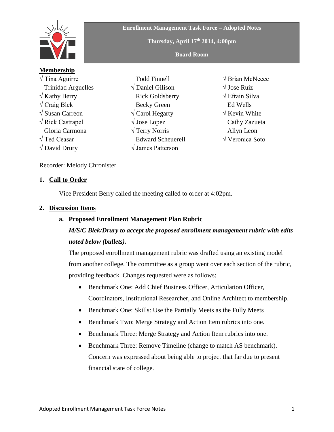

**Enrollment Management Task Force – Adopted Notes**

**Thursday, April 17th 2014, 4:00pm**

**Board Room**

**Membership** √ Tina Aguirre Trinidad Arguelles  $\sqrt{k}$ athy Berry  $\sqrt{C}$ raig Blek √ Susan Carreon √ Rick Castrapel Gloria Carmona √ Ted Ceasar  $\sqrt{$  David Drury

 Todd Finnell √ Daniel Gilison Rick Goldsberry Becky Green √ Carol Hegarty √ Jose Lopez √ Terry Norris Edward Scheuerell √ James Patterson

√ Brian McNeece √ Jose Ruiz √ Efrain Silva Ed Wells √ Kevin White Cathy Zazueta Allyn Leon √ Veronica Soto

Recorder: Melody Chronister

#### **1. Call to Order**

Vice President Berry called the meeting called to order at 4:02pm.

#### **2. Discussion Items**

### **a. Proposed Enrollment Management Plan Rubric**

# *M/S/C Blek/Drury to accept the proposed enrollment management rubric with edits noted below (bullets).*

The proposed enrollment management rubric was drafted using an existing model from another college. The committee as a group went over each section of the rubric, providing feedback. Changes requested were as follows:

- Benchmark One: Add Chief Business Officer, Articulation Officer, Coordinators, Institutional Researcher, and Online Architect to membership.
- Benchmark One: Skills: Use the Partially Meets as the Fully Meets
- Benchmark Two: Merge Strategy and Action Item rubrics into one.
- Benchmark Three: Merge Strategy and Action Item rubrics into one.
- Benchmark Three: Remove Timeline (change to match AS benchmark). Concern was expressed about being able to project that far due to present financial state of college.